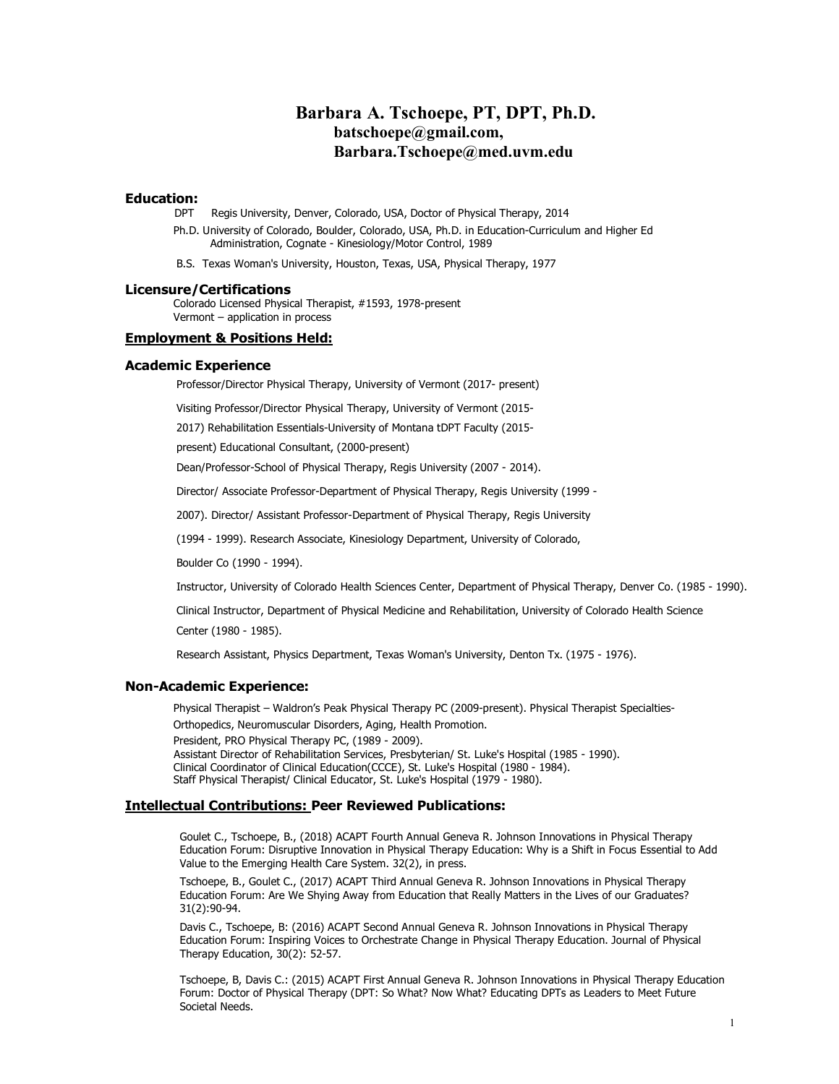# **Barbara A. Tschoepe, PT, DPT, Ph.D. batschoepe@gmail.com, Barbara.Tschoepe@med.uvm.edu**

# **Education:**

DPT Regis University, Denver, Colorado, USA, Doctor of Physical Therapy, 2014

Ph.D. University of Colorado, Boulder, Colorado, USA, Ph.D. in Education-Curriculum and Higher Ed Administration, Cognate - Kinesiology/Motor Control, 1989

B.S. Texas Woman's University, Houston, Texas, USA, Physical Therapy, 1977

#### **Licensure/Certifications**

Colorado Licensed Physical Therapist, #1593, 1978-present Vermont – application in process

# **Employment & Positions Held:**

### **Academic Experience**

Professor/Director Physical Therapy, University of Vermont (2017- present)

Visiting Professor/Director Physical Therapy, University of Vermont (2015-

2017) Rehabilitation Essentials-University of Montana tDPT Faculty (2015-

present) Educational Consultant, (2000-present)

Dean/Professor-School of Physical Therapy, Regis University (2007 - 2014).

Director/ Associate Professor-Department of Physical Therapy, Regis University (1999 -

2007). Director/ Assistant Professor-Department of Physical Therapy, Regis University

(1994 - 1999). Research Associate, Kinesiology Department, University of Colorado,

Boulder Co (1990 - 1994).

Instructor, University of Colorado Health Sciences Center, Department of Physical Therapy, Denver Co. (1985 - 1990).

Clinical Instructor, Department of Physical Medicine and Rehabilitation, University of Colorado Health Science Center (1980 - 1985).

Research Assistant, Physics Department, Texas Woman's University, Denton Tx. (1975 - 1976).

#### **Non-Academic Experience:**

Physical Therapist – Waldron's Peak Physical Therapy PC (2009-present). Physical Therapist Specialties-Orthopedics, Neuromuscular Disorders, Aging, Health Promotion.

President, PRO Physical Therapy PC, (1989 - 2009).

 Assistant Director of Rehabilitation Services, Presbyterian/ St. Luke's Hospital (1985 - 1990). Clinical Coordinator of Clinical Education(CCCE), St. Luke's Hospital (1980 - 1984). Staff Physical Therapist/ Clinical Educator, St. Luke's Hospital (1979 - 1980).

# **Intellectual Contributions: Peer Reviewed Publications:**

Goulet C., Tschoepe, B., (2018) ACAPT Fourth Annual Geneva R. Johnson Innovations in Physical Therapy Education Forum: Disruptive Innovation in Physical Therapy Education: Why is a Shift in Focus Essential to Add Value to the Emerging Health Care System. 32(2), in press.

Tschoepe, B., Goulet C., (2017) ACAPT Third Annual Geneva R. Johnson Innovations in Physical Therapy Education Forum: Are We Shying Away from Education that Really Matters in the Lives of our Graduates? 31(2):90-94.

Davis C., Tschoepe, B: (2016) ACAPT Second Annual Geneva R. Johnson Innovations in Physical Therapy Education Forum: Inspiring Voices to Orchestrate Change in Physical Therapy Education. Journal of Physical Therapy Education, 30(2): 52-57.

Tschoepe, B, Davis C.: (2015) ACAPT First Annual Geneva R. Johnson Innovations in Physical Therapy Education Forum: Doctor of Physical Therapy (DPT: So What? Now What? Educating DPTs as Leaders to Meet Future Societal Needs.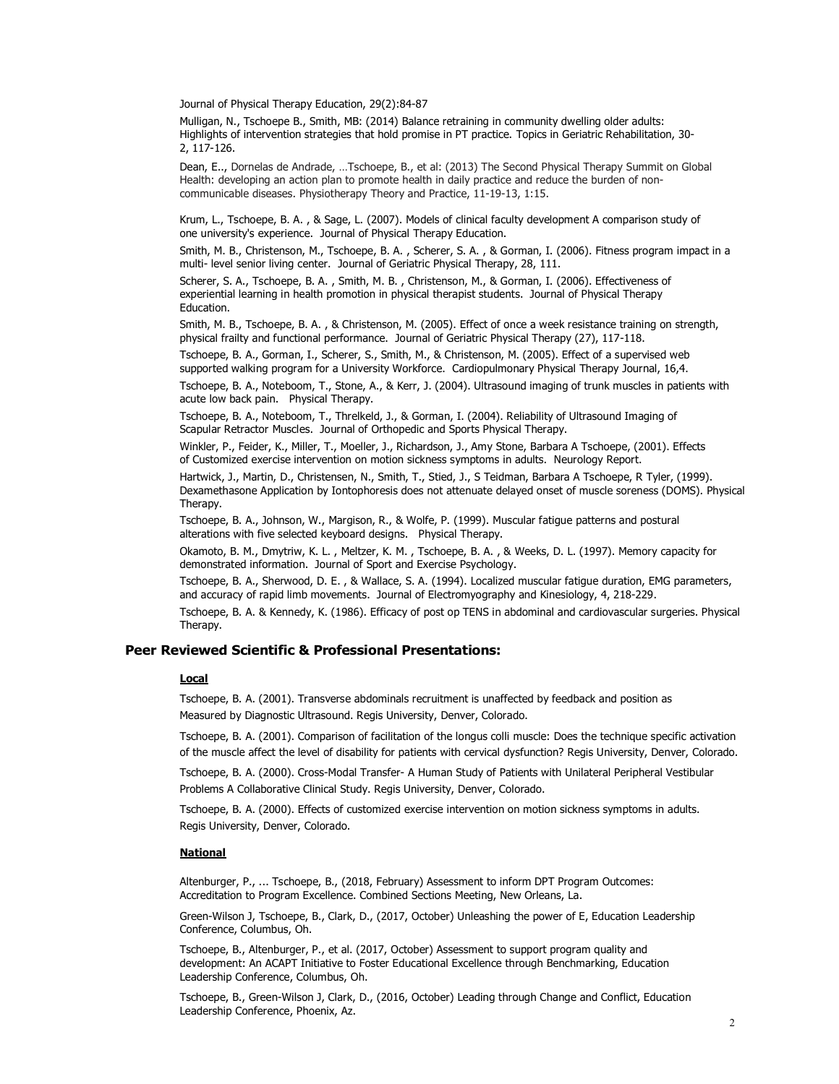Journal of Physical Therapy Education, 29(2):84-87

Mulligan, N., Tschoepe B., Smith, MB: (2014) Balance retraining in community dwelling older adults: Highlights of intervention strategies that hold promise in PT practice. Topics in Geriatric Rehabilitation, 30- 2, 117-126.

Dean, E.., Dornelas de Andrade, …Tschoepe, B., et al: (2013) The Second Physical Therapy Summit on Global Health: developing an action plan to promote health in daily practice and reduce the burden of noncommunicable diseases. Physiotherapy Theory and Practice, 11-19-13, 1:15.

Krum, L., Tschoepe, B. A. , & Sage, L. (2007). Models of clinical faculty development A comparison study of one university's experience. Journal of Physical Therapy Education.

Smith, M. B., Christenson, M., Tschoepe, B. A. , Scherer, S. A. , & Gorman, I. (2006). Fitness program impact in a multi- level senior living center. Journal of Geriatric Physical Therapy, 28, 111.

Scherer, S. A., Tschoepe, B. A. , Smith, M. B. , Christenson, M., & Gorman, I. (2006). Effectiveness of experiential learning in health promotion in physical therapist students. Journal of Physical Therapy Education.

Smith, M. B., Tschoepe, B. A. , & Christenson, M. (2005). Effect of once a week resistance training on strength, physical frailty and functional performance. Journal of Geriatric Physical Therapy (27), 117-118.

Tschoepe, B. A., Gorman, I., Scherer, S., Smith, M., & Christenson, M. (2005). Effect of a supervised web supported walking program for a University Workforce. Cardiopulmonary Physical Therapy Journal, 16,4.

Tschoepe, B. A., Noteboom, T., Stone, A., & Kerr, J. (2004). Ultrasound imaging of trunk muscles in patients with acute low back pain. Physical Therapy.

Tschoepe, B. A., Noteboom, T., Threlkeld, J., & Gorman, I. (2004). Reliability of Ultrasound Imaging of Scapular Retractor Muscles. Journal of Orthopedic and Sports Physical Therapy.

Winkler, P., Feider, K., Miller, T., Moeller, J., Richardson, J., Amy Stone, Barbara A Tschoepe, (2001). Effects of Customized exercise intervention on motion sickness symptoms in adults. Neurology Report.

Hartwick, J., Martin, D., Christensen, N., Smith, T., Stied, J., S Teidman, Barbara A Tschoepe, R Tyler, (1999). Dexamethasone Application by Iontophoresis does not attenuate delayed onset of muscle soreness (DOMS). Physical Therany

Tschoepe, B. A., Johnson, W., Margison, R., & Wolfe, P. (1999). Muscular fatigue patterns and postural alterations with five selected keyboard designs. Physical Therapy.

Okamoto, B. M., Dmytriw, K. L. , Meltzer, K. M. , Tschoepe, B. A. , & Weeks, D. L. (1997). Memory capacity for demonstrated information. Journal of Sport and Exercise Psychology.

Tschoepe, B. A., Sherwood, D. E. , & Wallace, S. A. (1994). Localized muscular fatigue duration, EMG parameters, and accuracy of rapid limb movements. Journal of Electromyography and Kinesiology, 4, 218-229.

Tschoepe, B. A. & Kennedy, K. (1986). Efficacy of post op TENS in abdominal and cardiovascular surgeries. Physical Therapy.

# **Peer Reviewed Scientific & Professional Presentations:**

# **Local**

Tschoepe, B. A. (2001). Transverse abdominals recruitment is unaffected by feedback and position as Measured by Diagnostic Ultrasound. Regis University, Denver, Colorado.

Tschoepe, B. A. (2001). Comparison of facilitation of the longus colli muscle: Does the technique specific activation of the muscle affect the level of disability for patients with cervical dysfunction? Regis University, Denver, Colorado.

Tschoepe, B. A. (2000). Cross-Modal Transfer- A Human Study of Patients with Unilateral Peripheral Vestibular Problems A Collaborative Clinical Study. Regis University, Denver, Colorado.

Tschoepe, B. A. (2000). Effects of customized exercise intervention on motion sickness symptoms in adults. Regis University, Denver, Colorado.

#### **National**

Altenburger, P., ... Tschoepe, B., (2018, February) Assessment to inform DPT Program Outcomes: Accreditation to Program Excellence. Combined Sections Meeting, New Orleans, La.

Green-Wilson J, Tschoepe, B., Clark, D., (2017, October) Unleashing the power of E, Education Leadership Conference, Columbus, Oh.

Tschoepe, B., Altenburger, P., et al. (2017, October) Assessment to support program quality and development: An ACAPT Initiative to Foster Educational Excellence through Benchmarking, Education Leadership Conference, Columbus, Oh.

Tschoepe, B., Green-Wilson J, Clark, D., (2016, October) Leading through Change and Conflict, Education Leadership Conference, Phoenix, Az.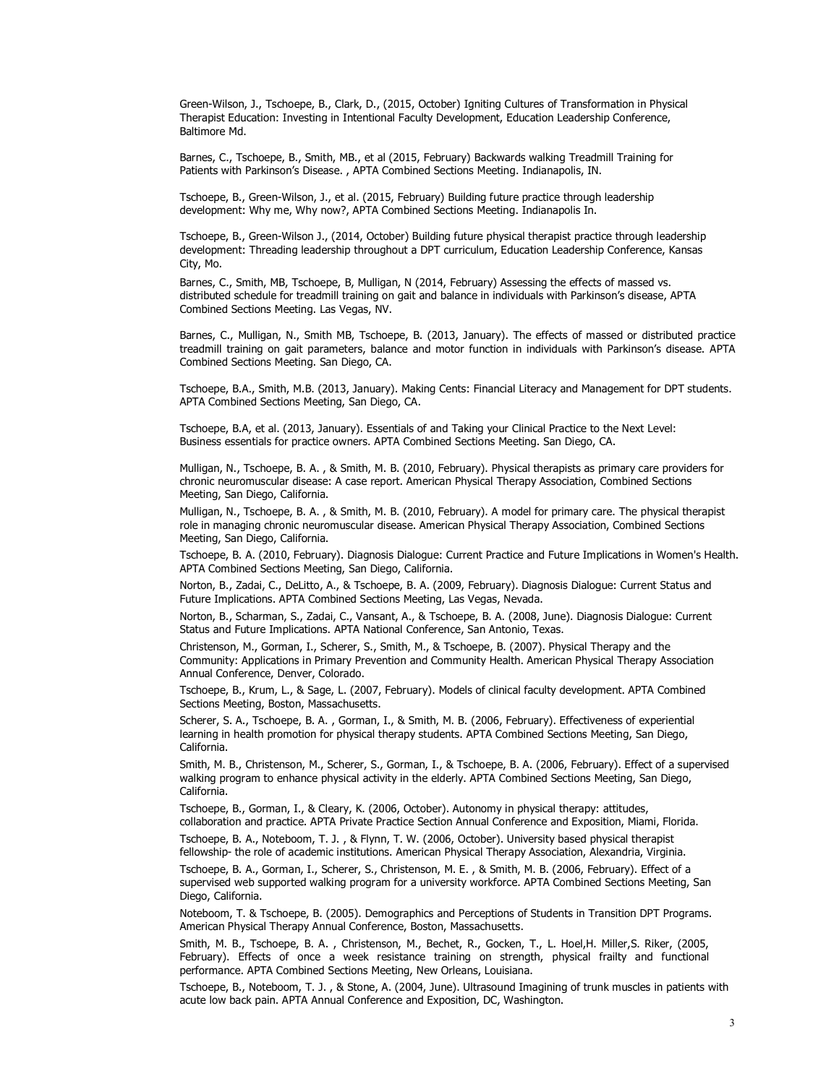Green-Wilson, J., Tschoepe, B., Clark, D., (2015, October) Igniting Cultures of Transformation in Physical Therapist Education: Investing in Intentional Faculty Development, Education Leadership Conference, Baltimore Md.

Barnes, C., Tschoepe, B., Smith, MB., et al (2015, February) Backwards walking Treadmill Training for Patients with Parkinson's Disease. , APTA Combined Sections Meeting. Indianapolis, IN.

Tschoepe, B., Green-Wilson, J., et al. (2015, February) Building future practice through leadership development: Why me, Why now?, APTA Combined Sections Meeting. Indianapolis In.

Tschoepe, B., Green-Wilson J., (2014, October) Building future physical therapist practice through leadership development: Threading leadership throughout a DPT curriculum, Education Leadership Conference, Kansas City, Mo.

Barnes, C., Smith, MB, Tschoepe, B, Mulligan, N (2014, February) Assessing the effects of massed vs. distributed schedule for treadmill training on gait and balance in individuals with Parkinson's disease, APTA Combined Sections Meeting. Las Vegas, NV.

Barnes, C., Mulligan, N., Smith MB, Tschoepe, B. (2013, January). The effects of massed or distributed practice treadmill training on gait parameters, balance and motor function in individuals with Parkinson's disease. APTA Combined Sections Meeting. San Diego, CA.

Tschoepe, B.A., Smith, M.B. (2013, January). Making Cents: Financial Literacy and Management for DPT students. APTA Combined Sections Meeting, San Diego, CA.

Tschoepe, B.A, et al. (2013, January). Essentials of and Taking your Clinical Practice to the Next Level: Business essentials for practice owners. APTA Combined Sections Meeting. San Diego, CA.

Mulligan, N., Tschoepe, B. A. , & Smith, M. B. (2010, February). Physical therapists as primary care providers for chronic neuromuscular disease: A case report. American Physical Therapy Association, Combined Sections Meeting, San Diego, California.

Mulligan, N., Tschoepe, B. A. , & Smith, M. B. (2010, February). A model for primary care. The physical therapist role in managing chronic neuromuscular disease. American Physical Therapy Association, Combined Sections Meeting, San Diego, California.

Tschoepe, B. A. (2010, February). Diagnosis Dialogue: Current Practice and Future Implications in Women's Health. APTA Combined Sections Meeting, San Diego, California.

Norton, B., Zadai, C., DeLitto, A., & Tschoepe, B. A. (2009, February). Diagnosis Dialogue: Current Status and Future Implications. APTA Combined Sections Meeting, Las Vegas, Nevada.

Norton, B., Scharman, S., Zadai, C., Vansant, A., & Tschoepe, B. A. (2008, June). Diagnosis Dialogue: Current Status and Future Implications. APTA National Conference, San Antonio, Texas.

Christenson, M., Gorman, I., Scherer, S., Smith, M., & Tschoepe, B. (2007). Physical Therapy and the Community: Applications in Primary Prevention and Community Health. American Physical Therapy Association Annual Conference, Denver, Colorado.

Tschoepe, B., Krum, L., & Sage, L. (2007, February). Models of clinical faculty development. APTA Combined Sections Meeting, Boston, Massachusetts.

Scherer, S. A., Tschoepe, B. A. , Gorman, I., & Smith, M. B. (2006, February). Effectiveness of experiential learning in health promotion for physical therapy students. APTA Combined Sections Meeting, San Diego, California.

Smith, M. B., Christenson, M., Scherer, S., Gorman, I., & Tschoepe, B. A. (2006, February). Effect of a supervised walking program to enhance physical activity in the elderly. APTA Combined Sections Meeting, San Diego, California.

Tschoepe, B., Gorman, I., & Cleary, K. (2006, October). Autonomy in physical therapy: attitudes, collaboration and practice. APTA Private Practice Section Annual Conference and Exposition, Miami, Florida.

Tschoepe, B. A., Noteboom, T. J. , & Flynn, T. W. (2006, October). University based physical therapist fellowship- the role of academic institutions. American Physical Therapy Association, Alexandria, Virginia.

Tschoepe, B. A., Gorman, I., Scherer, S., Christenson, M. E. , & Smith, M. B. (2006, February). Effect of a supervised web supported walking program for a university workforce. APTA Combined Sections Meeting, San Diego, California.

Noteboom, T. & Tschoepe, B. (2005). Demographics and Perceptions of Students in Transition DPT Programs. American Physical Therapy Annual Conference, Boston, Massachusetts.

Smith, M. B., Tschoepe, B. A. , Christenson, M., Bechet, R., Gocken, T., L. Hoel,H. Miller,S. Riker, (2005, February). Effects of once a week resistance training on strength, physical frailty and functional performance. APTA Combined Sections Meeting, New Orleans, Louisiana.

Tschoepe, B., Noteboom, T. J. , & Stone, A. (2004, June). Ultrasound Imagining of trunk muscles in patients with acute low back pain. APTA Annual Conference and Exposition, DC, Washington.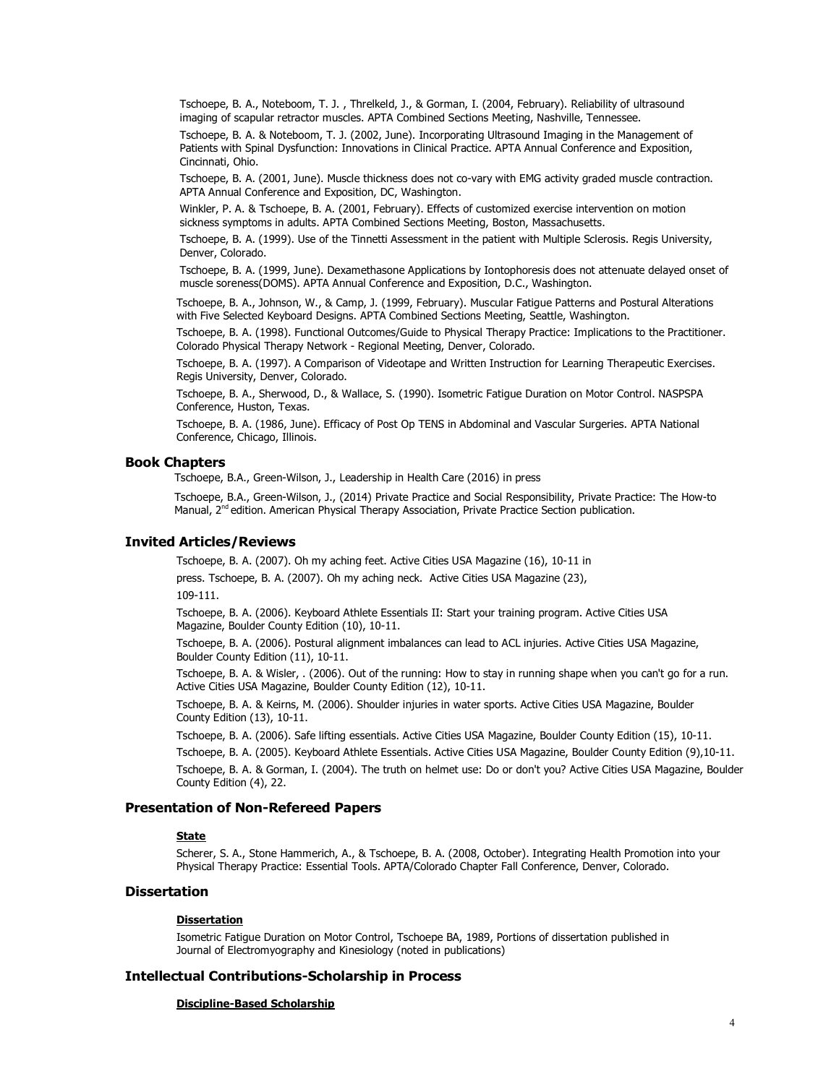Tschoepe, B. A., Noteboom, T. J. , Threlkeld, J., & Gorman, I. (2004, February). Reliability of ultrasound imaging of scapular retractor muscles. APTA Combined Sections Meeting, Nashville, Tennessee.

Tschoepe, B. A. & Noteboom, T. J. (2002, June). Incorporating Ultrasound Imaging in the Management of Patients with Spinal Dysfunction: Innovations in Clinical Practice. APTA Annual Conference and Exposition, Cincinnati, Ohio.

Tschoepe, B. A. (2001, June). Muscle thickness does not co-vary with EMG activity graded muscle contraction. APTA Annual Conference and Exposition, DC, Washington.

Winkler, P. A. & Tschoepe, B. A. (2001, February). Effects of customized exercise intervention on motion sickness symptoms in adults. APTA Combined Sections Meeting, Boston, Massachusetts.

Tschoepe, B. A. (1999). Use of the Tinnetti Assessment in the patient with Multiple Sclerosis. Regis University, Denver, Colorado.

Tschoepe, B. A. (1999, June). Dexamethasone Applications by Iontophoresis does not attenuate delayed onset of muscle soreness(DOMS). APTA Annual Conference and Exposition, D.C., Washington.

Tschoepe, B. A., Johnson, W., & Camp, J. (1999, February). Muscular Fatigue Patterns and Postural Alterations with Five Selected Keyboard Designs. APTA Combined Sections Meeting, Seattle, Washington.

Tschoepe, B. A. (1998). Functional Outcomes/Guide to Physical Therapy Practice: Implications to the Practitioner. Colorado Physical Therapy Network - Regional Meeting, Denver, Colorado.

Tschoepe, B. A. (1997). A Comparison of Videotape and Written Instruction for Learning Therapeutic Exercises. Regis University, Denver, Colorado.

Tschoepe, B. A., Sherwood, D., & Wallace, S. (1990). Isometric Fatigue Duration on Motor Control. NASPSPA Conference, Huston, Texas.

Tschoepe, B. A. (1986, June). Efficacy of Post Op TENS in Abdominal and Vascular Surgeries. APTA National Conference, Chicago, Illinois.

### **Book Chapters**

Tschoepe, B.A., Green-Wilson, J., Leadership in Health Care (2016) in press

Tschoepe, B.A., Green-Wilson, J., (2014) Private Practice and Social Responsibility, Private Practice: The How-to Manual, 2<sup>nd</sup> edition. American Physical Therapy Association, Private Practice Section publication.

# **Invited Articles/Reviews**

Tschoepe, B. A. (2007). Oh my aching feet. Active Cities USA Magazine (16), 10-11 in

press. Tschoepe, B. A. (2007). Oh my aching neck. Active Cities USA Magazine (23), 109-111.

Tschoepe, B. A. (2006). Keyboard Athlete Essentials II: Start your training program. Active Cities USA Magazine, Boulder County Edition (10), 10-11.

Tschoepe, B. A. (2006). Postural alignment imbalances can lead to ACL injuries. Active Cities USA Magazine, Boulder County Edition (11), 10-11.

Tschoepe, B. A. & Wisler, . (2006). Out of the running: How to stay in running shape when you can't go for a run. Active Cities USA Magazine, Boulder County Edition (12), 10-11.

Tschoepe, B. A. & Keirns, M. (2006). Shoulder injuries in water sports. Active Cities USA Magazine, Boulder County Edition (13), 10-11.

Tschoepe, B. A. (2006). Safe lifting essentials. Active Cities USA Magazine, Boulder County Edition (15), 10-11.

Tschoepe, B. A. (2005). Keyboard Athlete Essentials. Active Cities USA Magazine, Boulder County Edition (9),10-11.

Tschoepe, B. A. & Gorman, I. (2004). The truth on helmet use: Do or don't you? Active Cities USA Magazine, Boulder County Edition (4), 22.

# **Presentation of Non-Refereed Papers**

#### **State**

Scherer, S. A., Stone Hammerich, A., & Tschoepe, B. A. (2008, October). Integrating Health Promotion into your Physical Therapy Practice: Essential Tools. APTA/Colorado Chapter Fall Conference, Denver, Colorado.

# **Dissertation**

#### **Dissertation**

Isometric Fatigue Duration on Motor Control, Tschoepe BA, 1989, Portions of dissertation published in Journal of Electromyography and Kinesiology (noted in publications)

### **Intellectual Contributions-Scholarship in Process**

#### **Discipline-Based Scholarship**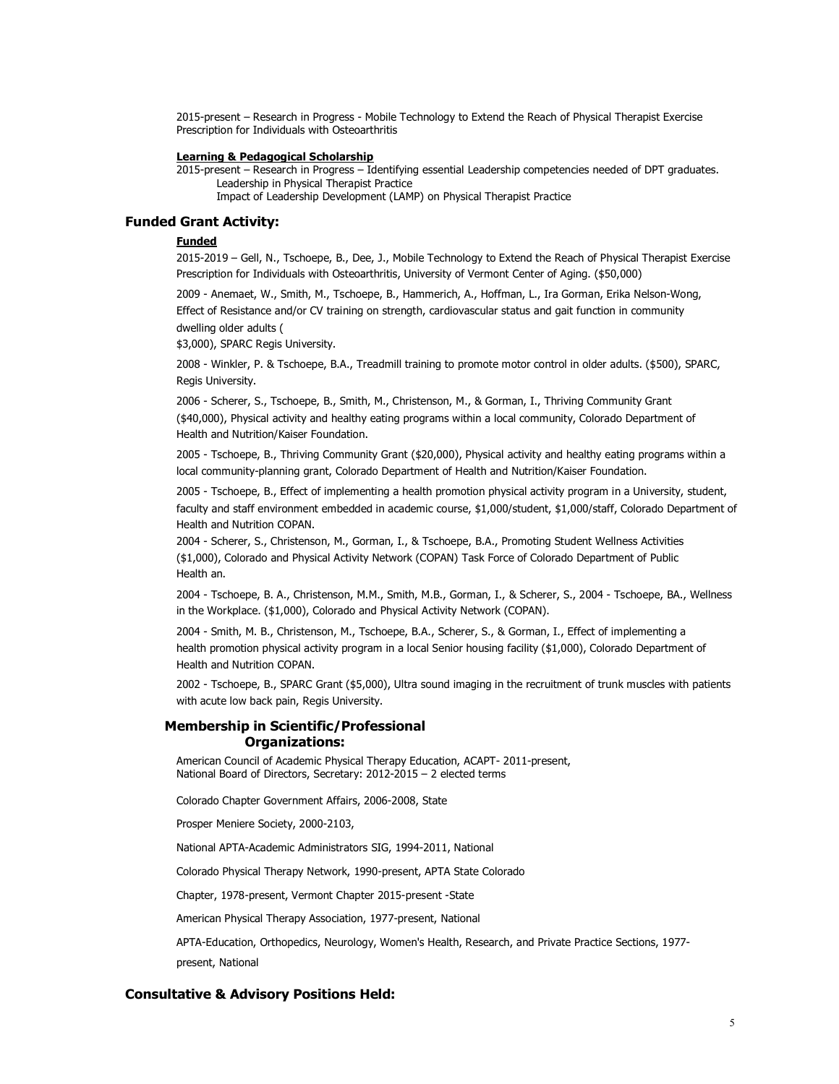2015-present – Research in Progress - Mobile Technology to Extend the Reach of Physical Therapist Exercise Prescription for Individuals with Osteoarthritis

### **Learning & Pedagogical Scholarship**

2015-present – Research in Progress – Identifying essential Leadership competencies needed of DPT graduates. Leadership in Physical Therapist Practice

Impact of Leadership Development (LAMP) on Physical Therapist Practice

### **Funded Grant Activity:**

### **Funded**

2015-2019 – Gell, N., Tschoepe, B., Dee, J., Mobile Technology to Extend the Reach of Physical Therapist Exercise Prescription for Individuals with Osteoarthritis, University of Vermont Center of Aging. (\$50,000)

2009 - Anemaet, W., Smith, M., Tschoepe, B., Hammerich, A., Hoffman, L., Ira Gorman, Erika Nelson-Wong, Effect of Resistance and/or CV training on strength, cardiovascular status and gait function in community dwelling older adults (

\$3,000), SPARC Regis University.

2008 - Winkler, P. & Tschoepe, B.A., Treadmill training to promote motor control in older adults. (\$500), SPARC, Regis University.

2006 - Scherer, S., Tschoepe, B., Smith, M., Christenson, M., & Gorman, I., Thriving Community Grant (\$40,000), Physical activity and healthy eating programs within a local community, Colorado Department of Health and Nutrition/Kaiser Foundation.

2005 - Tschoepe, B., Thriving Community Grant (\$20,000), Physical activity and healthy eating programs within a local community-planning grant, Colorado Department of Health and Nutrition/Kaiser Foundation.

2005 - Tschoepe, B., Effect of implementing a health promotion physical activity program in a University, student, faculty and staff environment embedded in academic course, \$1,000/student, \$1,000/staff, Colorado Department of Health and Nutrition COPAN.

2004 - Scherer, S., Christenson, M., Gorman, I., & Tschoepe, B.A., Promoting Student Wellness Activities (\$1,000), Colorado and Physical Activity Network (COPAN) Task Force of Colorado Department of Public Health an.

2004 - Tschoepe, B. A., Christenson, M.M., Smith, M.B., Gorman, I., & Scherer, S., 2004 - Tschoepe, BA., Wellness in the Workplace. (\$1,000), Colorado and Physical Activity Network (COPAN).

2004 - Smith, M. B., Christenson, M., Tschoepe, B.A., Scherer, S., & Gorman, I., Effect of implementing a health promotion physical activity program in a local Senior housing facility (\$1,000), Colorado Department of Health and Nutrition COPAN.

2002 - Tschoepe, B., SPARC Grant (\$5,000), Ultra sound imaging in the recruitment of trunk muscles with patients with acute low back pain, Regis University.

# **Membership in Scientific/Professional Organizations:**

American Council of Academic Physical Therapy Education, ACAPT- 2011-present, National Board of Directors, Secretary: 2012-2015 – 2 elected terms

Colorado Chapter Government Affairs, 2006-2008, State

Prosper Meniere Society, 2000-2103,

National APTA-Academic Administrators SIG, 1994-2011, National

Colorado Physical Therapy Network, 1990-present, APTA State Colorado

Chapter, 1978-present, Vermont Chapter 2015-present -State

American Physical Therapy Association, 1977-present, National

APTA-Education, Orthopedics, Neurology, Women's Health, Research, and Private Practice Sections, 1977 present, National

### **Consultative & Advisory Positions Held:**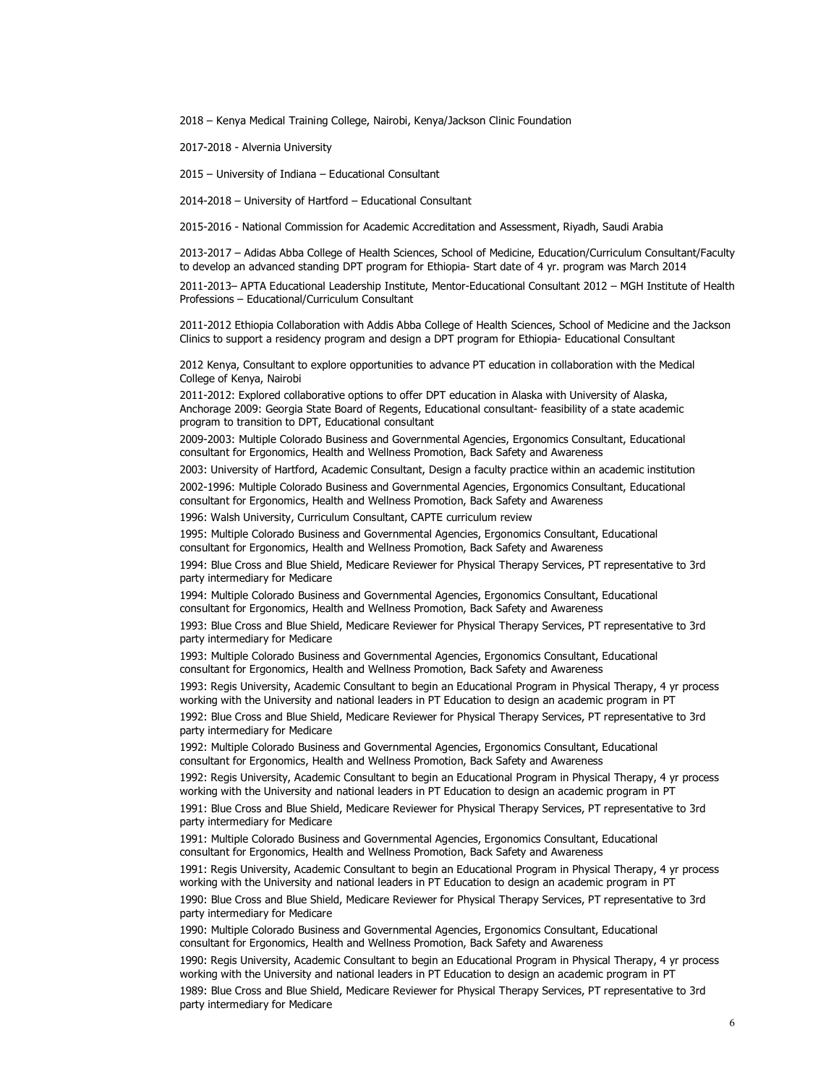2018 – Kenya Medical Training College, Nairobi, Kenya/Jackson Clinic Foundation

2017-2018 - Alvernia University

2015 – University of Indiana – Educational Consultant

2014-2018 – University of Hartford – Educational Consultant

2015-2016 - National Commission for Academic Accreditation and Assessment, Riyadh, Saudi Arabia

2013-2017 – Adidas Abba College of Health Sciences, School of Medicine, Education/Curriculum Consultant/Faculty to develop an advanced standing DPT program for Ethiopia- Start date of 4 yr. program was March 2014

2011-2013– APTA Educational Leadership Institute, Mentor-Educational Consultant 2012 – MGH Institute of Health Professions – Educational/Curriculum Consultant

2011-2012 Ethiopia Collaboration with Addis Abba College of Health Sciences, School of Medicine and the Jackson Clinics to support a residency program and design a DPT program for Ethiopia- Educational Consultant

2012 Kenya, Consultant to explore opportunities to advance PT education in collaboration with the Medical College of Kenya, Nairobi

2011-2012: Explored collaborative options to offer DPT education in Alaska with University of Alaska, Anchorage 2009: Georgia State Board of Regents, Educational consultant- feasibility of a state academic program to transition to DPT, Educational consultant

2009-2003: Multiple Colorado Business and Governmental Agencies, Ergonomics Consultant, Educational consultant for Ergonomics, Health and Wellness Promotion, Back Safety and Awareness

2003: University of Hartford, Academic Consultant, Design a faculty practice within an academic institution

2002-1996: Multiple Colorado Business and Governmental Agencies, Ergonomics Consultant, Educational consultant for Ergonomics, Health and Wellness Promotion, Back Safety and Awareness

1996: Walsh University, Curriculum Consultant, CAPTE curriculum review

1995: Multiple Colorado Business and Governmental Agencies, Ergonomics Consultant, Educational consultant for Ergonomics, Health and Wellness Promotion, Back Safety and Awareness

1994: Blue Cross and Blue Shield, Medicare Reviewer for Physical Therapy Services, PT representative to 3rd party intermediary for Medicare

1994: Multiple Colorado Business and Governmental Agencies, Ergonomics Consultant, Educational consultant for Ergonomics, Health and Wellness Promotion, Back Safety and Awareness

1993: Blue Cross and Blue Shield, Medicare Reviewer for Physical Therapy Services, PT representative to 3rd party intermediary for Medicare

1993: Multiple Colorado Business and Governmental Agencies, Ergonomics Consultant, Educational consultant for Ergonomics, Health and Wellness Promotion, Back Safety and Awareness

1993: Regis University, Academic Consultant to begin an Educational Program in Physical Therapy, 4 yr process working with the University and national leaders in PT Education to design an academic program in PT

1992: Blue Cross and Blue Shield, Medicare Reviewer for Physical Therapy Services, PT representative to 3rd party intermediary for Medicare

1992: Multiple Colorado Business and Governmental Agencies, Ergonomics Consultant, Educational consultant for Ergonomics, Health and Wellness Promotion, Back Safety and Awareness

1992: Regis University, Academic Consultant to begin an Educational Program in Physical Therapy, 4 yr process working with the University and national leaders in PT Education to design an academic program in PT

1991: Blue Cross and Blue Shield, Medicare Reviewer for Physical Therapy Services, PT representative to 3rd party intermediary for Medicare

1991: Multiple Colorado Business and Governmental Agencies, Ergonomics Consultant, Educational consultant for Ergonomics, Health and Wellness Promotion, Back Safety and Awareness

1991: Regis University, Academic Consultant to begin an Educational Program in Physical Therapy, 4 yr process working with the University and national leaders in PT Education to design an academic program in PT

1990: Blue Cross and Blue Shield, Medicare Reviewer for Physical Therapy Services, PT representative to 3rd party intermediary for Medicare

1990: Multiple Colorado Business and Governmental Agencies, Ergonomics Consultant, Educational consultant for Ergonomics, Health and Wellness Promotion, Back Safety and Awareness

1990: Regis University, Academic Consultant to begin an Educational Program in Physical Therapy, 4 yr process working with the University and national leaders in PT Education to design an academic program in PT

1989: Blue Cross and Blue Shield, Medicare Reviewer for Physical Therapy Services, PT representative to 3rd party intermediary for Medicare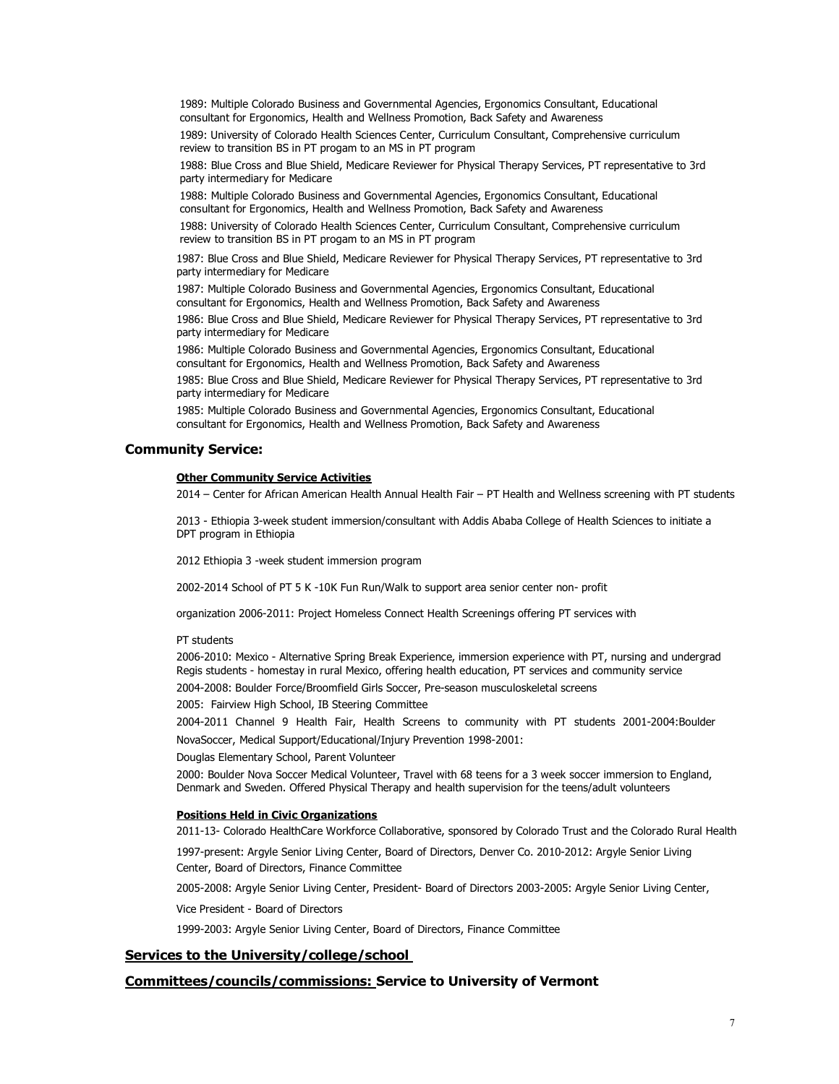1989: Multiple Colorado Business and Governmental Agencies, Ergonomics Consultant, Educational consultant for Ergonomics, Health and Wellness Promotion, Back Safety and Awareness

1989: University of Colorado Health Sciences Center, Curriculum Consultant, Comprehensive curriculum review to transition BS in PT progam to an MS in PT program

1988: Blue Cross and Blue Shield, Medicare Reviewer for Physical Therapy Services, PT representative to 3rd party intermediary for Medicare

1988: Multiple Colorado Business and Governmental Agencies, Ergonomics Consultant, Educational consultant for Ergonomics, Health and Wellness Promotion, Back Safety and Awareness

1988: University of Colorado Health Sciences Center, Curriculum Consultant, Comprehensive curriculum review to transition BS in PT progam to an MS in PT program

1987: Blue Cross and Blue Shield, Medicare Reviewer for Physical Therapy Services, PT representative to 3rd party intermediary for Medicare

1987: Multiple Colorado Business and Governmental Agencies, Ergonomics Consultant, Educational consultant for Ergonomics, Health and Wellness Promotion, Back Safety and Awareness

1986: Blue Cross and Blue Shield, Medicare Reviewer for Physical Therapy Services, PT representative to 3rd party intermediary for Medicare

1986: Multiple Colorado Business and Governmental Agencies, Ergonomics Consultant, Educational consultant for Ergonomics, Health and Wellness Promotion, Back Safety and Awareness

1985: Blue Cross and Blue Shield, Medicare Reviewer for Physical Therapy Services, PT representative to 3rd party intermediary for Medicare

1985: Multiple Colorado Business and Governmental Agencies, Ergonomics Consultant, Educational consultant for Ergonomics, Health and Wellness Promotion, Back Safety and Awareness

# **Community Service:**

#### **Other Community Service Activities**

2014 – Center for African American Health Annual Health Fair – PT Health and Wellness screening with PT students

2013 - Ethiopia 3-week student immersion/consultant with Addis Ababa College of Health Sciences to initiate a DPT program in Ethiopia

2012 Ethiopia 3 -week student immersion program

2002-2014 School of PT 5 K -10K Fun Run/Walk to support area senior center non- profit

organization 2006-2011: Project Homeless Connect Health Screenings offering PT services with

### PT students

2006-2010: Mexico - Alternative Spring Break Experience, immersion experience with PT, nursing and undergrad Regis students - homestay in rural Mexico, offering health education, PT services and community service

2004-2008: Boulder Force/Broomfield Girls Soccer, Pre-season musculoskeletal screens

2005: Fairview High School, IB Steering Committee

2004-2011 Channel 9 Health Fair, Health Screens to community with PT students 2001-2004:Boulder NovaSoccer, Medical Support/Educational/Injury Prevention 1998-2001:

Douglas Elementary School, Parent Volunteer

2000: Boulder Nova Soccer Medical Volunteer, Travel with 68 teens for a 3 week soccer immersion to England, Denmark and Sweden. Offered Physical Therapy and health supervision for the teens/adult volunteers

#### **Positions Held in Civic Organizations**

2011-13- Colorado HealthCare Workforce Collaborative, sponsored by Colorado Trust and the Colorado Rural Health

1997-present: Argyle Senior Living Center, Board of Directors, Denver Co. 2010-2012: Argyle Senior Living Center, Board of Directors, Finance Committee

2005-2008: Argyle Senior Living Center, President- Board of Directors 2003-2005: Argyle Senior Living Center,

Vice President - Board of Directors

1999-2003: Argyle Senior Living Center, Board of Directors, Finance Committee

# **Services to the University/college/school**

### **Committees/councils/commissions: Service to University of Vermont**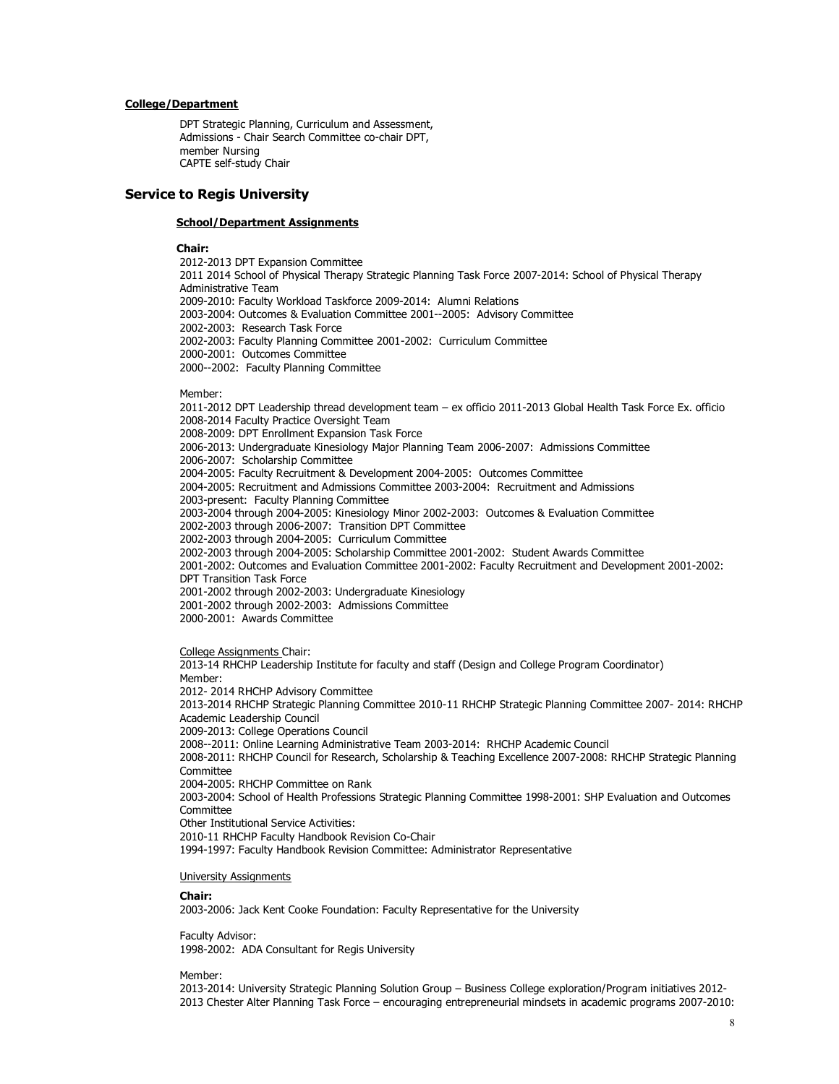### **College/Department**

DPT Strategic Planning, Curriculum and Assessment, Admissions - Chair Search Committee co-chair DPT, member Nursing CAPTE self-study Chair

### **Service to Regis University**

#### **School/Department Assignments**

#### **Chair:**

2012-2013 DPT Expansion Committee 2011 2014 School of Physical Therapy Strategic Planning Task Force 2007-2014: School of Physical Therapy Administrative Team 2009-2010: Faculty Workload Taskforce 2009-2014: Alumni Relations 2003-2004: Outcomes & Evaluation Committee 2001--2005: Advisory Committee 2002-2003: Research Task Force 2002-2003: Faculty Planning Committee 2001-2002: Curriculum Committee 2000-2001: Outcomes Committee 2000--2002: Faculty Planning Committee Member: 2011-2012 DPT Leadership thread development team – ex officio 2011-2013 Global Health Task Force Ex. officio 2008-2014 Faculty Practice Oversight Team 2008-2009: DPT Enrollment Expansion Task Force 2006-2013: Undergraduate Kinesiology Major Planning Team 2006-2007: Admissions Committee 2006-2007: Scholarship Committee 2004-2005: Faculty Recruitment & Development 2004-2005: Outcomes Committee 2004-2005: Recruitment and Admissions Committee 2003-2004: Recruitment and Admissions 2003-present: Faculty Planning Committee

2003-2004 through 2004-2005: Kinesiology Minor 2002-2003: Outcomes & Evaluation Committee

2002-2003 through 2006-2007: Transition DPT Committee

2002-2003 through 2004-2005: Curriculum Committee

2002-2003 through 2004-2005: Scholarship Committee 2001-2002: Student Awards Committee

2001-2002: Outcomes and Evaluation Committee 2001-2002: Faculty Recruitment and Development 2001-2002: DPT Transition Task Force

2001-2002 through 2002-2003: Undergraduate Kinesiology

2001-2002 through 2002-2003: Admissions Committee

2000-2001: Awards Committee

College Assignments Chair:

2013-14 RHCHP Leadership Institute for faculty and staff (Design and College Program Coordinator) Member:

2012- 2014 RHCHP Advisory Committee

2013-2014 RHCHP Strategic Planning Committee 2010-11 RHCHP Strategic Planning Committee 2007- 2014: RHCHP Academic Leadership Council

2009-2013: College Operations Council

2008--2011: Online Learning Administrative Team 2003-2014: RHCHP Academic Council

2008-2011: RHCHP Council for Research, Scholarship & Teaching Excellence 2007-2008: RHCHP Strategic Planning Committee

2004-2005: RHCHP Committee on Rank

2003-2004: School of Health Professions Strategic Planning Committee 1998-2001: SHP Evaluation and Outcomes **Committee** 

Other Institutional Service Activities:

2010-11 RHCHP Faculty Handbook Revision Co-Chair

1994-1997: Faculty Handbook Revision Committee: Administrator Representative

University Assignments

#### **Chair:**

2003-2006: Jack Kent Cooke Foundation: Faculty Representative for the University

Faculty Advisor: 1998-2002: ADA Consultant for Regis University

Member:

2013-2014: University Strategic Planning Solution Group – Business College exploration/Program initiatives 2012- 2013 Chester Alter Planning Task Force – encouraging entrepreneurial mindsets in academic programs 2007-2010: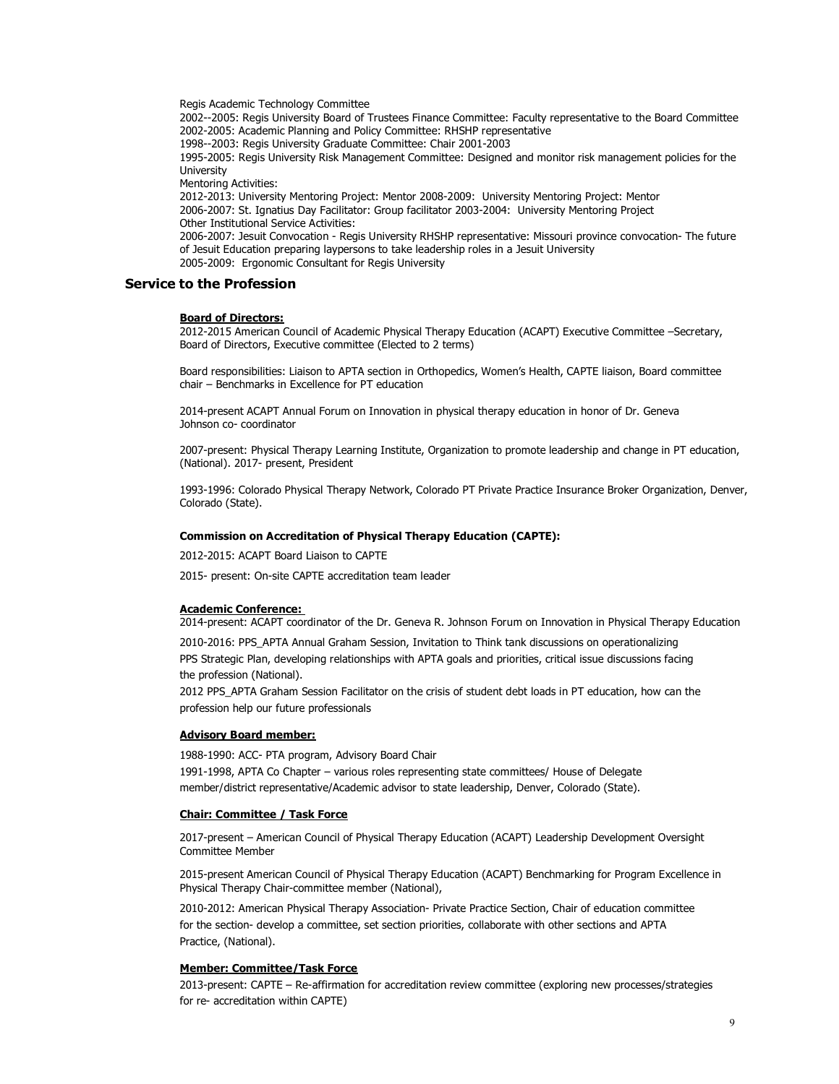Regis Academic Technology Committee

2002--2005: Regis University Board of Trustees Finance Committee: Faculty representative to the Board Committee 2002-2005: Academic Planning and Policy Committee: RHSHP representative

1998--2003: Regis University Graduate Committee: Chair 2001-2003

2005-2009: Ergonomic Consultant for Regis University

1995-2005: Regis University Risk Management Committee: Designed and monitor risk management policies for the University

Mentoring Activities:

2012-2013: University Mentoring Project: Mentor 2008-2009: University Mentoring Project: Mentor 2006-2007: St. Ignatius Day Facilitator: Group facilitator 2003-2004: University Mentoring Project Other Institutional Service Activities: 2006-2007: Jesuit Convocation - Regis University RHSHP representative: Missouri province convocation- The future of Jesuit Education preparing laypersons to take leadership roles in a Jesuit University

### **Service to the Profession**

#### **Board of Directors:**

2012-2015 American Council of Academic Physical Therapy Education (ACAPT) Executive Committee –Secretary, Board of Directors, Executive committee (Elected to 2 terms)

Board responsibilities: Liaison to APTA section in Orthopedics, Women's Health, CAPTE liaison, Board committee chair – Benchmarks in Excellence for PT education

2014-present ACAPT Annual Forum on Innovation in physical therapy education in honor of Dr. Geneva Johnson co- coordinator

2007-present: Physical Therapy Learning Institute, Organization to promote leadership and change in PT education, (National). 2017- present, President

1993-1996: Colorado Physical Therapy Network, Colorado PT Private Practice Insurance Broker Organization, Denver, Colorado (State).

#### **Commission on Accreditation of Physical Therapy Education (CAPTE):**

2012-2015: ACAPT Board Liaison to CAPTE

2015- present: On-site CAPTE accreditation team leader

#### **Academic Conference:**

2014-present: ACAPT coordinator of the Dr. Geneva R. Johnson Forum on Innovation in Physical Therapy Education

2010-2016: PPS\_APTA Annual Graham Session, Invitation to Think tank discussions on operationalizing PPS Strategic Plan, developing relationships with APTA goals and priorities, critical issue discussions facing the profession (National).

2012 PPS\_APTA Graham Session Facilitator on the crisis of student debt loads in PT education, how can the profession help our future professionals

#### **Advisory Board member:**

1988-1990: ACC- PTA program, Advisory Board Chair 1991-1998, APTA Co Chapter – various roles representing state committees/ House of Delegate member/district representative/Academic advisor to state leadership, Denver, Colorado (State).

#### **Chair: Committee / Task Force**

2017-present – American Council of Physical Therapy Education (ACAPT) Leadership Development Oversight Committee Member

2015-present American Council of Physical Therapy Education (ACAPT) Benchmarking for Program Excellence in Physical Therapy Chair-committee member (National),

2010-2012: American Physical Therapy Association- Private Practice Section, Chair of education committee for the section- develop a committee, set section priorities, collaborate with other sections and APTA Practice, (National).

#### **Member: Committee/Task Force**

2013-present: CAPTE – Re-affirmation for accreditation review committee (exploring new processes/strategies for re- accreditation within CAPTE)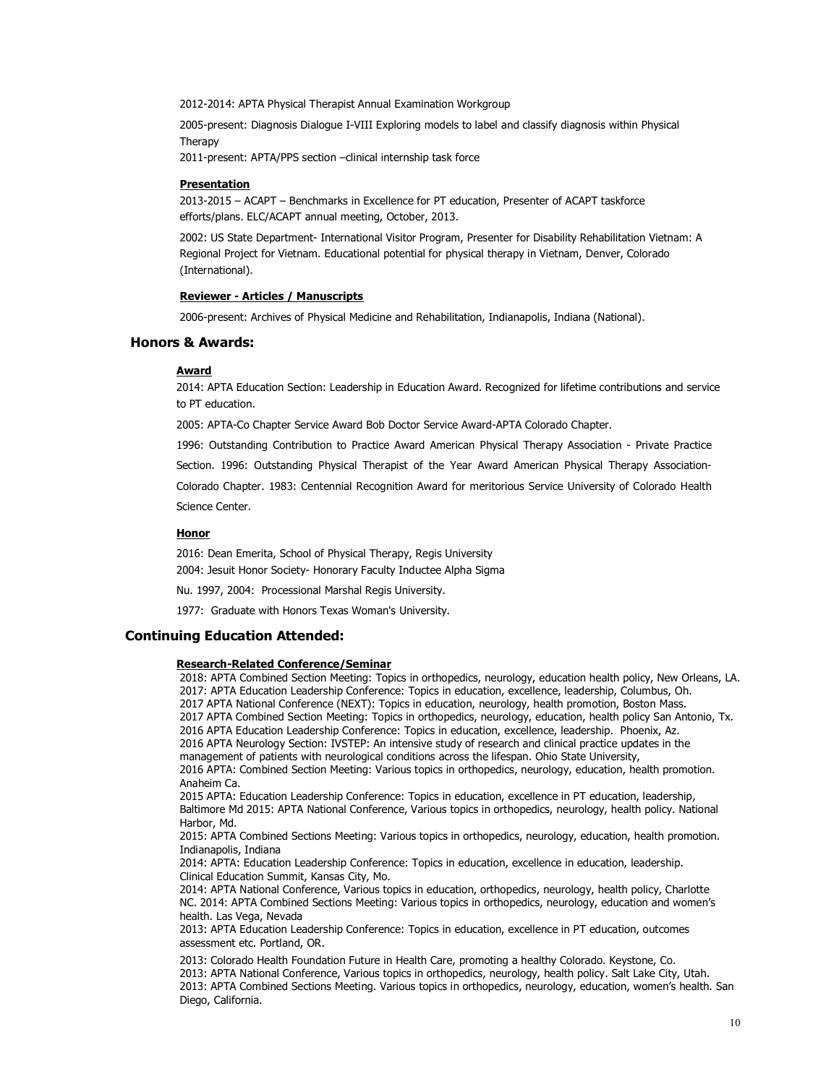2012-2014: APTA Physical Therapist Annual Examination Workgroup

2005-present: Diagnosis Dialogue I-VIII Exploring models to label and classify diagnosis within Physical **Therapy** 

2011-present: APTA/PPS section –clinical internship task force

#### **Presentation**

2013-2015 – ACAPT – Benchmarks in Excellence for PT education, Presenter of ACAPT taskforce efforts/plans. ELC/ACAPT annual meeting, October, 2013.

2002: US State Department- International Visitor Program, Presenter for Disability Rehabilitation Vietnam: A Regional Project for Vietnam. Educational potential for physical therapy in Vietnam, Denver, Colorado (International).

#### **Reviewer - Articles / Manuscripts**

2006-present: Archives of Physical Medicine and Rehabilitation, Indianapolis, Indiana (National).

### **Honors & Awards:**

#### **Award**

2014: APTA Education Section: Leadership in Education Award. Recognized for lifetime contributions and service to PT education.

2005: APTA-Co Chapter Service Award Bob Doctor Service Award-APTA Colorado Chapter.

1996: Outstanding Contribution to Practice Award American Physical Therapy Association - Private Practice

Section. 1996: Outstanding Physical Therapist of the Year Award American Physical Therapy Association-

Colorado Chapter. 1983: Centennial Recognition Award for meritorious Service University of Colorado Health Science Center.

### **Honor**

2016: Dean Emerita, School of Physical Therapy, Regis University 2004: Jesuit Honor Society- Honorary Faculty Inductee Alpha Sigma

Nu. 1997, 2004: Processional Marshal Regis University.

1977: Graduate with Honors Texas Woman's University.

### **Continuing Education Attended:**

#### **Research-Related Conference/Seminar**

2018: APTA Combined Section Meeting: Topics in orthopedics, neurology, education health policy, New Orleans, LA. 2017: APTA Education Leadership Conference: Topics in education, excellence, leadership, Columbus, Oh. 2017 APTA National Conference (NEXT): Topics in education, neurology, health promotion, Boston Mass. 2017 APTA Combined Section Meeting: Topics in orthopedics, neurology, education, health policy San Antonio, Tx. 2016 APTA Education Leadership Conference: Topics in education, excellence, leadership. Phoenix, Az. 2016 APTA Neurology Section: IVSTEP: An intensive study of research and clinical practice updates in the management of patients with neurological conditions across the lifespan. Ohio State University, 2016 APTA: Combined Section Meeting: Various topics in orthopedics, neurology, education, health promotion. Anaheim Ca. 2015 APTA: Education Leadership Conference: Topics in education, excellence in PT education, leadership,

Baltimore Md 2015: APTA National Conference, Various topics in orthopedics, neurology, health policy. National Harbor, Md.

2015: APTA Combined Sections Meeting: Various topics in orthopedics, neurology, education, health promotion. Indianapolis, Indiana

2014: APTA: Education Leadership Conference: Topics in education, excellence in education, leadership. Clinical Education Summit, Kansas City, Mo.

2014: APTA National Conference, Various topics in education, orthopedics, neurology, health policy, Charlotte NC. 2014: APTA Combined Sections Meeting: Various topics in orthopedics, neurology, education and women's health. Las Vega, Nevada

2013: APTA Education Leadership Conference: Topics in education, excellence in PT education, outcomes assessment etc. Portland, OR.

2013: Colorado Health Foundation Future in Health Care, promoting a healthy Colorado. Keystone, Co. 2013: APTA National Conference, Various topics in orthopedics, neurology, health policy. Salt Lake City, Utah. 2013: APTA Combined Sections Meeting. Various topics in orthopedics, neurology, education, women's health. San Diego, California.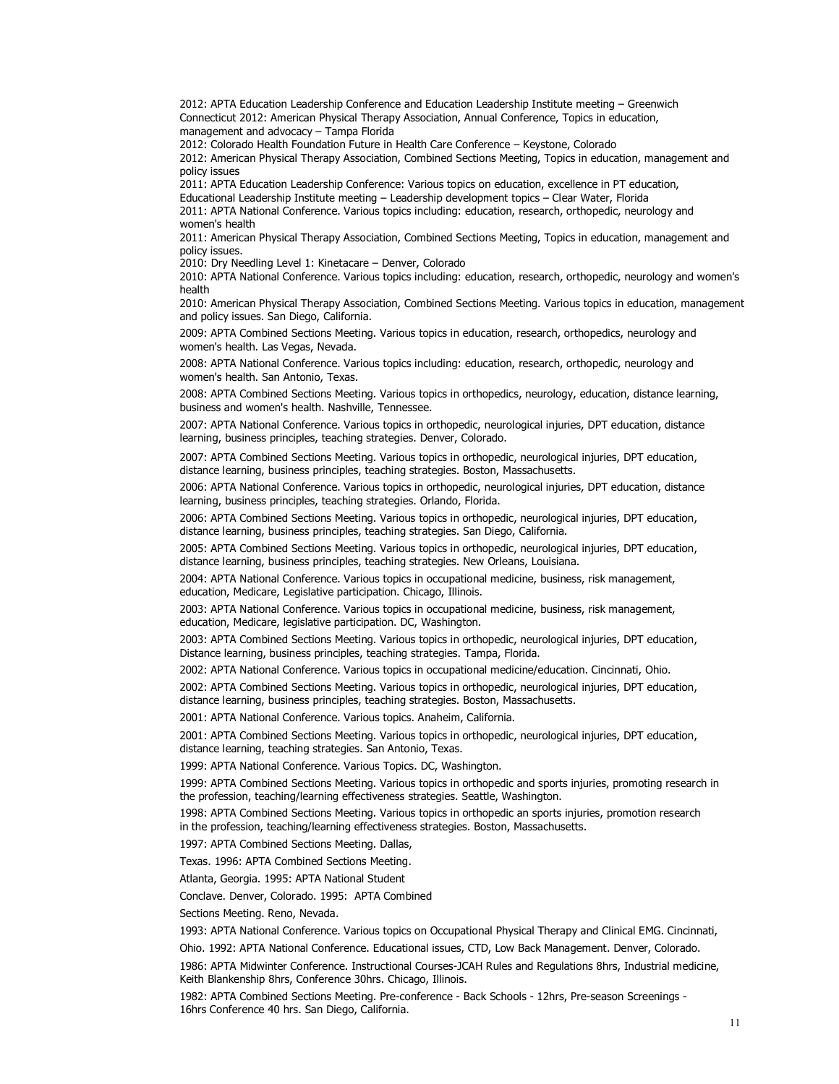2012: APTA Education Leadership Conference and Education Leadership Institute meeting – Greenwich Connecticut 2012: American Physical Therapy Association, Annual Conference, Topics in education, management and advocacy – Tampa Florida

2012: Colorado Health Foundation Future in Health Care Conference – Keystone, Colorado

2012: American Physical Therapy Association, Combined Sections Meeting, Topics in education, management and policy issues

2011: APTA Education Leadership Conference: Various topics on education, excellence in PT education, Educational Leadership Institute meeting – Leadership development topics – Clear Water, Florida

2011: APTA National Conference. Various topics including: education, research, orthopedic, neurology and women's health

2011: American Physical Therapy Association, Combined Sections Meeting, Topics in education, management and policy issues.

2010: Dry Needling Level 1: Kinetacare – Denver, Colorado

2010: APTA National Conference. Various topics including: education, research, orthopedic, neurology and women's health

2010: American Physical Therapy Association, Combined Sections Meeting. Various topics in education, management and policy issues. San Diego, California.

2009: APTA Combined Sections Meeting. Various topics in education, research, orthopedics, neurology and women's health. Las Vegas, Nevada.

2008: APTA National Conference. Various topics including: education, research, orthopedic, neurology and women's health. San Antonio, Texas.

2008: APTA Combined Sections Meeting. Various topics in orthopedics, neurology, education, distance learning, business and women's health. Nashville, Tennessee.

2007: APTA National Conference. Various topics in orthopedic, neurological injuries, DPT education, distance learning, business principles, teaching strategies. Denver, Colorado.

2007: APTA Combined Sections Meeting. Various topics in orthopedic, neurological injuries, DPT education, distance learning, business principles, teaching strategies. Boston, Massachusetts.

2006: APTA National Conference. Various topics in orthopedic, neurological injuries, DPT education, distance learning, business principles, teaching strategies. Orlando, Florida.

2006: APTA Combined Sections Meeting. Various topics in orthopedic, neurological injuries, DPT education, distance learning, business principles, teaching strategies. San Diego, California.

2005: APTA Combined Sections Meeting. Various topics in orthopedic, neurological injuries, DPT education, distance learning, business principles, teaching strategies. New Orleans, Louisiana.

2004: APTA National Conference. Various topics in occupational medicine, business, risk management, education, Medicare, Legislative participation. Chicago, Illinois.

2003: APTA National Conference. Various topics in occupational medicine, business, risk management, education, Medicare, legislative participation. DC, Washington.

2003: APTA Combined Sections Meeting. Various topics in orthopedic, neurological injuries, DPT education, Distance learning, business principles, teaching strategies. Tampa, Florida.

2002: APTA National Conference. Various topics in occupational medicine/education. Cincinnati, Ohio.

2002: APTA Combined Sections Meeting. Various topics in orthopedic, neurological injuries, DPT education, distance learning, business principles, teaching strategies. Boston, Massachusetts.

2001: APTA National Conference. Various topics. Anaheim, California.

2001: APTA Combined Sections Meeting. Various topics in orthopedic, neurological injuries, DPT education, distance learning, teaching strategies. San Antonio, Texas.

1999: APTA National Conference. Various Topics. DC, Washington.

1999: APTA Combined Sections Meeting. Various topics in orthopedic and sports injuries, promoting research in the profession, teaching/learning effectiveness strategies. Seattle, Washington.

1998: APTA Combined Sections Meeting. Various topics in orthopedic an sports injuries, promotion research in the profession, teaching/learning effectiveness strategies. Boston, Massachusetts.

1997: APTA Combined Sections Meeting. Dallas,

Texas. 1996: APTA Combined Sections Meeting.

Atlanta, Georgia. 1995: APTA National Student

Conclave. Denver, Colorado. 1995: APTA Combined

Sections Meeting. Reno, Nevada.

1993: APTA National Conference. Various topics on Occupational Physical Therapy and Clinical EMG. Cincinnati,

Ohio. 1992: APTA National Conference. Educational issues, CTD, Low Back Management. Denver, Colorado.

1986: APTA Midwinter Conference. Instructional Courses-JCAH Rules and Regulations 8hrs, Industrial medicine, Keith Blankenship 8hrs, Conference 30hrs. Chicago, Illinois.

1982: APTA Combined Sections Meeting. Pre-conference - Back Schools - 12hrs, Pre-season Screenings - 16hrs Conference 40 hrs. San Diego, California.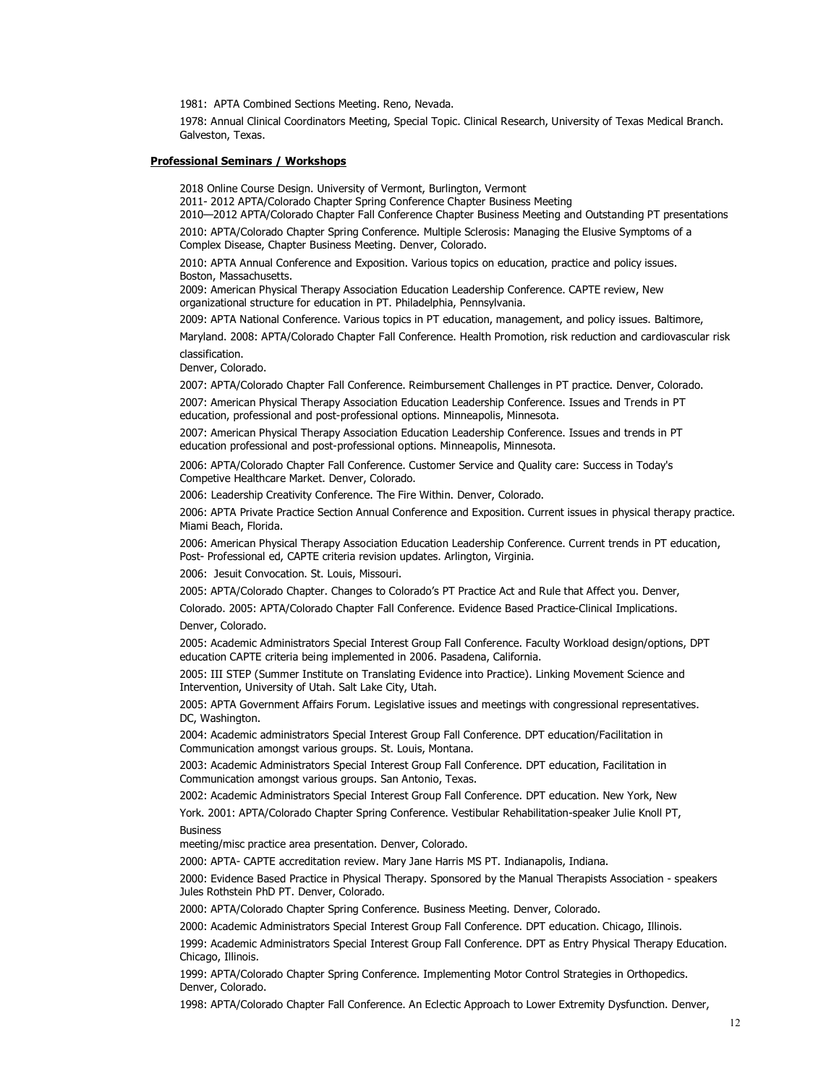1981: APTA Combined Sections Meeting. Reno, Nevada.

1978: Annual Clinical Coordinators Meeting, Special Topic. Clinical Research, University of Texas Medical Branch. Galveston, Texas.

#### **Professional Seminars / Workshops**

2018 Online Course Design. University of Vermont, Burlington, Vermont

2011- 2012 APTA/Colorado Chapter Spring Conference Chapter Business Meeting 2010—2012 APTA/Colorado Chapter Fall Conference Chapter Business Meeting and Outstanding PT presentations

2010: APTA/Colorado Chapter Spring Conference. Multiple Sclerosis: Managing the Elusive Symptoms of a Complex Disease, Chapter Business Meeting. Denver, Colorado.

2010: APTA Annual Conference and Exposition. Various topics on education, practice and policy issues. Boston, Massachusetts.

2009: American Physical Therapy Association Education Leadership Conference. CAPTE review, New organizational structure for education in PT. Philadelphia, Pennsylvania.

2009: APTA National Conference. Various topics in PT education, management, and policy issues. Baltimore,

Maryland. 2008: APTA/Colorado Chapter Fall Conference. Health Promotion, risk reduction and cardiovascular risk classification.

Denver, Colorado.

2007: APTA/Colorado Chapter Fall Conference. Reimbursement Challenges in PT practice. Denver, Colorado.

2007: American Physical Therapy Association Education Leadership Conference. Issues and Trends in PT education, professional and post-professional options. Minneapolis, Minnesota.

2007: American Physical Therapy Association Education Leadership Conference. Issues and trends in PT education professional and post-professional options. Minneapolis, Minnesota.

2006: APTA/Colorado Chapter Fall Conference. Customer Service and Quality care: Success in Today's Competive Healthcare Market. Denver, Colorado.

2006: Leadership Creativity Conference. The Fire Within. Denver, Colorado.

2006: APTA Private Practice Section Annual Conference and Exposition. Current issues in physical therapy practice. Miami Beach, Florida.

2006: American Physical Therapy Association Education Leadership Conference. Current trends in PT education, Post- Professional ed, CAPTE criteria revision updates. Arlington, Virginia.

2006: Jesuit Convocation. St. Louis, Missouri.

2005: APTA/Colorado Chapter. Changes to Colorado's PT Practice Act and Rule that Affect you. Denver,

Colorado. 2005: APTA/Colorado Chapter Fall Conference. Evidence Based Practice-Clinical Implications. Denver, Colorado.

2005: Academic Administrators Special Interest Group Fall Conference. Faculty Workload design/options, DPT education CAPTE criteria being implemented in 2006. Pasadena, California.

2005: III STEP (Summer Institute on Translating Evidence into Practice). Linking Movement Science and Intervention, University of Utah. Salt Lake City, Utah.

2005: APTA Government Affairs Forum. Legislative issues and meetings with congressional representatives. DC, Washington.

2004: Academic administrators Special Interest Group Fall Conference. DPT education/Facilitation in Communication amongst various groups. St. Louis, Montana.

2003: Academic Administrators Special Interest Group Fall Conference. DPT education, Facilitation in Communication amongst various groups. San Antonio, Texas.

2002: Academic Administrators Special Interest Group Fall Conference. DPT education. New York, New

York. 2001: APTA/Colorado Chapter Spring Conference. Vestibular Rehabilitation-speaker Julie Knoll PT, Business

meeting/misc practice area presentation. Denver, Colorado.

2000: APTA- CAPTE accreditation review. Mary Jane Harris MS PT. Indianapolis, Indiana.

2000: Evidence Based Practice in Physical Therapy. Sponsored by the Manual Therapists Association - speakers Jules Rothstein PhD PT. Denver, Colorado.

2000: APTA/Colorado Chapter Spring Conference. Business Meeting. Denver, Colorado.

2000: Academic Administrators Special Interest Group Fall Conference. DPT education. Chicago, Illinois.

1999: Academic Administrators Special Interest Group Fall Conference. DPT as Entry Physical Therapy Education. Chicago, Illinois.

1999: APTA/Colorado Chapter Spring Conference. Implementing Motor Control Strategies in Orthopedics. Denver, Colorado.

1998: APTA/Colorado Chapter Fall Conference. An Eclectic Approach to Lower Extremity Dysfunction. Denver,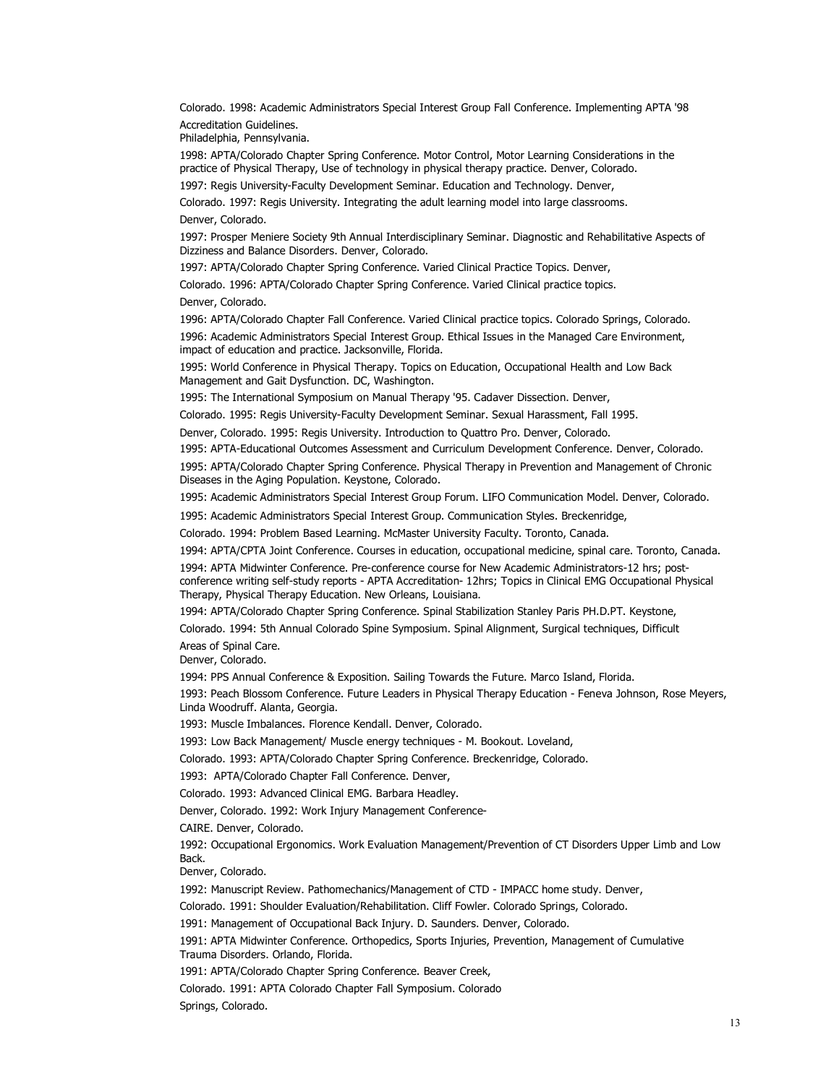Colorado. 1998: Academic Administrators Special Interest Group Fall Conference. Implementing APTA '98 Accreditation Guidelines.

Philadelphia, Pennsylvania.

1998: APTA/Colorado Chapter Spring Conference. Motor Control, Motor Learning Considerations in the practice of Physical Therapy, Use of technology in physical therapy practice. Denver, Colorado.

1997: Regis University-Faculty Development Seminar. Education and Technology. Denver,

Colorado. 1997: Regis University. Integrating the adult learning model into large classrooms. Denver, Colorado.

1997: Prosper Meniere Society 9th Annual Interdisciplinary Seminar. Diagnostic and Rehabilitative Aspects of Dizziness and Balance Disorders. Denver, Colorado.

1997: APTA/Colorado Chapter Spring Conference. Varied Clinical Practice Topics. Denver,

Colorado. 1996: APTA/Colorado Chapter Spring Conference. Varied Clinical practice topics.

Denver, Colorado.

1996: APTA/Colorado Chapter Fall Conference. Varied Clinical practice topics. Colorado Springs, Colorado.

1996: Academic Administrators Special Interest Group. Ethical Issues in the Managed Care Environment, impact of education and practice. Jacksonville, Florida.

1995: World Conference in Physical Therapy. Topics on Education, Occupational Health and Low Back Management and Gait Dysfunction. DC, Washington.

1995: The International Symposium on Manual Therapy '95. Cadaver Dissection. Denver,

Colorado. 1995: Regis University-Faculty Development Seminar. Sexual Harassment, Fall 1995.

Denver, Colorado. 1995: Regis University. Introduction to Quattro Pro. Denver, Colorado.

1995: APTA-Educational Outcomes Assessment and Curriculum Development Conference. Denver, Colorado.

1995: APTA/Colorado Chapter Spring Conference. Physical Therapy in Prevention and Management of Chronic Diseases in the Aging Population. Keystone, Colorado.

1995: Academic Administrators Special Interest Group Forum. LIFO Communication Model. Denver, Colorado.

1995: Academic Administrators Special Interest Group. Communication Styles. Breckenridge,

Colorado. 1994: Problem Based Learning. McMaster University Faculty. Toronto, Canada.

1994: APTA/CPTA Joint Conference. Courses in education, occupational medicine, spinal care. Toronto, Canada.

1994: APTA Midwinter Conference. Pre-conference course for New Academic Administrators-12 hrs; postconference writing self-study reports - APTA Accreditation- 12hrs; Topics in Clinical EMG Occupational Physical Therapy, Physical Therapy Education. New Orleans, Louisiana.

1994: APTA/Colorado Chapter Spring Conference. Spinal Stabilization Stanley Paris PH.D.PT. Keystone,

Colorado. 1994: 5th Annual Colorado Spine Symposium. Spinal Alignment, Surgical techniques, Difficult Areas of Spinal Care.

Denver, Colorado.

1994: PPS Annual Conference & Exposition. Sailing Towards the Future. Marco Island, Florida.

1993: Peach Blossom Conference. Future Leaders in Physical Therapy Education - Feneva Johnson, Rose Meyers, Linda Woodruff. Alanta, Georgia.

1993: Muscle Imbalances. Florence Kendall. Denver, Colorado.

1993: Low Back Management/ Muscle energy techniques - M. Bookout. Loveland,

Colorado. 1993: APTA/Colorado Chapter Spring Conference. Breckenridge, Colorado.

1993: APTA/Colorado Chapter Fall Conference. Denver,

Colorado. 1993: Advanced Clinical EMG. Barbara Headley.

Denver, Colorado. 1992: Work Injury Management Conference-

CAIRE. Denver, Colorado.

1992: Occupational Ergonomics. Work Evaluation Management/Prevention of CT Disorders Upper Limb and Low Back.

Denver, Colorado.

1992: Manuscript Review. Pathomechanics/Management of CTD - IMPACC home study. Denver,

Colorado. 1991: Shoulder Evaluation/Rehabilitation. Cliff Fowler. Colorado Springs, Colorado.

1991: Management of Occupational Back Injury. D. Saunders. Denver, Colorado.

1991: APTA Midwinter Conference. Orthopedics, Sports Injuries, Prevention, Management of Cumulative Trauma Disorders. Orlando, Florida.

1991: APTA/Colorado Chapter Spring Conference. Beaver Creek,

Colorado. 1991: APTA Colorado Chapter Fall Symposium. Colorado

Springs, Colorado.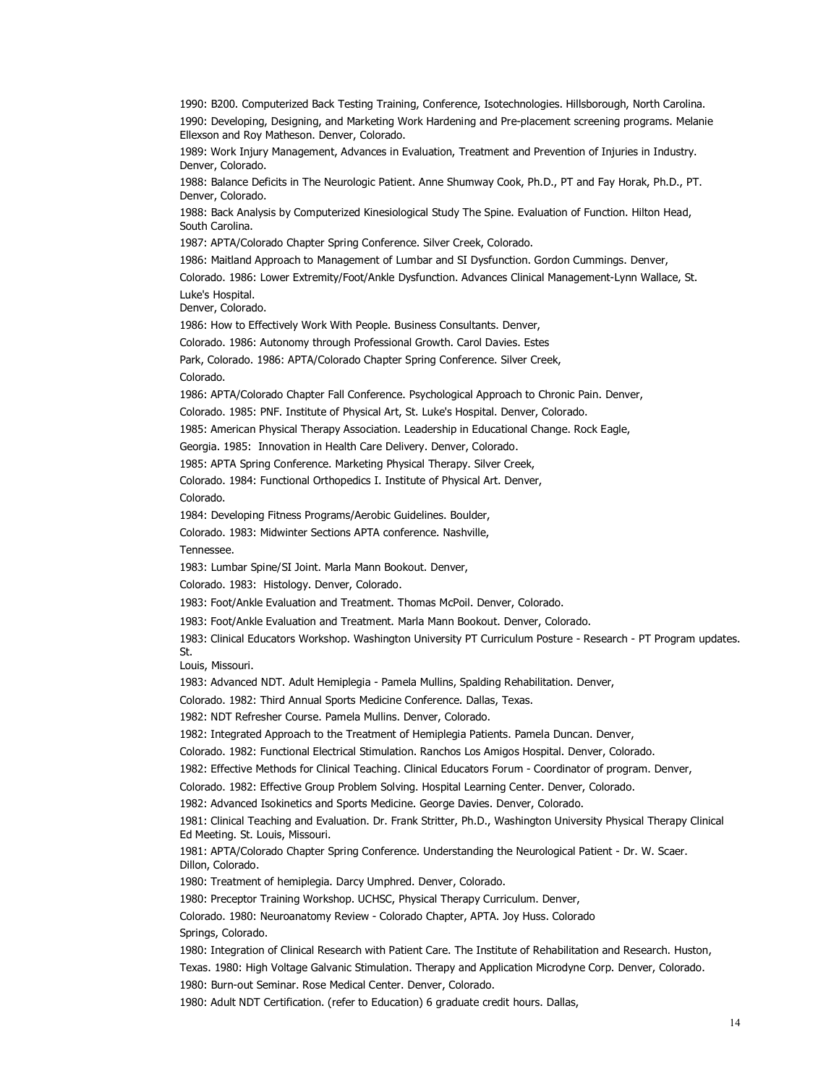1990: B200. Computerized Back Testing Training, Conference, Isotechnologies. Hillsborough, North Carolina. 1990: Developing, Designing, and Marketing Work Hardening and Pre-placement screening programs. Melanie Ellexson and Roy Matheson. Denver, Colorado.

1989: Work Injury Management, Advances in Evaluation, Treatment and Prevention of Injuries in Industry. Denver, Colorado.

1988: Balance Deficits in The Neurologic Patient. Anne Shumway Cook, Ph.D., PT and Fay Horak, Ph.D., PT. Denver, Colorado.

1988: Back Analysis by Computerized Kinesiological Study The Spine. Evaluation of Function. Hilton Head, South Carolina.

1987: APTA/Colorado Chapter Spring Conference. Silver Creek, Colorado.

1986: Maitland Approach to Management of Lumbar and SI Dysfunction. Gordon Cummings. Denver,

Colorado. 1986: Lower Extremity/Foot/Ankle Dysfunction. Advances Clinical Management-Lynn Wallace, St. Luke's Hospital.

Denver, Colorado.

1986: How to Effectively Work With People. Business Consultants. Denver,

Colorado. 1986: Autonomy through Professional Growth. Carol Davies. Estes

Park, Colorado. 1986: APTA/Colorado Chapter Spring Conference. Silver Creek, Colorado.

1986: APTA/Colorado Chapter Fall Conference. Psychological Approach to Chronic Pain. Denver,

Colorado. 1985: PNF. Institute of Physical Art, St. Luke's Hospital. Denver, Colorado.

1985: American Physical Therapy Association. Leadership in Educational Change. Rock Eagle,

Georgia. 1985: Innovation in Health Care Delivery. Denver, Colorado.

1985: APTA Spring Conference. Marketing Physical Therapy. Silver Creek,

Colorado. 1984: Functional Orthopedics I. Institute of Physical Art. Denver, Colorado.

1984: Developing Fitness Programs/Aerobic Guidelines. Boulder,

Colorado. 1983: Midwinter Sections APTA conference. Nashville,

Tennessee.

1983: Lumbar Spine/SI Joint. Marla Mann Bookout. Denver,

Colorado. 1983: Histology. Denver, Colorado.

1983: Foot/Ankle Evaluation and Treatment. Thomas McPoil. Denver, Colorado.

1983: Foot/Ankle Evaluation and Treatment. Marla Mann Bookout. Denver, Colorado.

1983: Clinical Educators Workshop. Washington University PT Curriculum Posture - Research - PT Program updates. St.

Louis, Missouri.

1983: Advanced NDT. Adult Hemiplegia - Pamela Mullins, Spalding Rehabilitation. Denver,

Colorado. 1982: Third Annual Sports Medicine Conference. Dallas, Texas.

1982: NDT Refresher Course. Pamela Mullins. Denver, Colorado.

1982: Integrated Approach to the Treatment of Hemiplegia Patients. Pamela Duncan. Denver,

Colorado. 1982: Functional Electrical Stimulation. Ranchos Los Amigos Hospital. Denver, Colorado.

1982: Effective Methods for Clinical Teaching. Clinical Educators Forum - Coordinator of program. Denver,

Colorado. 1982: Effective Group Problem Solving. Hospital Learning Center. Denver, Colorado.

1982: Advanced Isokinetics and Sports Medicine. George Davies. Denver, Colorado.

1981: Clinical Teaching and Evaluation. Dr. Frank Stritter, Ph.D., Washington University Physical Therapy Clinical Ed Meeting. St. Louis, Missouri.

1981: APTA/Colorado Chapter Spring Conference. Understanding the Neurological Patient - Dr. W. Scaer. Dillon, Colorado.

1980: Treatment of hemiplegia. Darcy Umphred. Denver, Colorado.

1980: Preceptor Training Workshop. UCHSC, Physical Therapy Curriculum. Denver,

Colorado. 1980: Neuroanatomy Review - Colorado Chapter, APTA. Joy Huss. Colorado Springs, Colorado.

1980: Integration of Clinical Research with Patient Care. The Institute of Rehabilitation and Research. Huston, Texas. 1980: High Voltage Galvanic Stimulation. Therapy and Application Microdyne Corp. Denver, Colorado.

1980: Burn-out Seminar. Rose Medical Center. Denver, Colorado.

1980: Adult NDT Certification. (refer to Education) 6 graduate credit hours. Dallas,